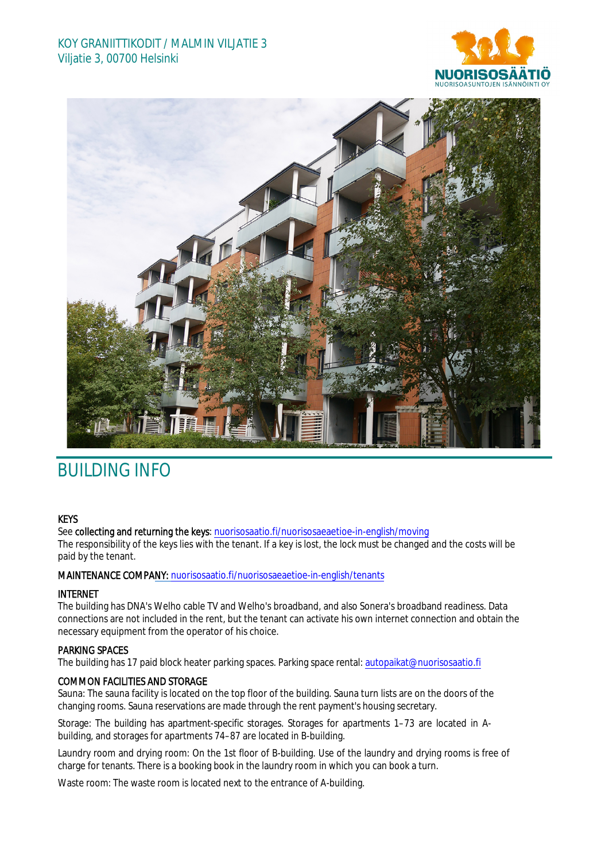## KOY GRANIITTIKODIT / MALMIN VILJATIE 3 Viljatie 3, 00700 Helsinki





# BUILDING INFO

## **KEYS**

See collecting and returning the keys: [nuorisosaatio.fi/nuorisosaeaet](http://www.nuorisosaatio.fi/muuttajalle)ioe-in-english/moving The responsibility of the keys lies with the tenant. If a key is lost, the lock must be changed and the costs will be paid by the tenant.

#### MAINTENANCE COMPANY: [nuorisosaatio.fi/nuoriso](http://www.nuorisosaatio.fi/asukkaalle)saeaetioe-in-english/tenants

## INTERNET

The building has DNA's Welho cable TV and Welho's broadband, and also Sonera's broadband readiness. Data connections are not included in the rent, but the tenant can activate his own internet connection and obtain the necessary equipment from the operator of his choice.

## PARKING SPACES

The building has 17 paid block heater parking spaces. Parking space rental: autopaikat@nuorisosaatio.fi

## COMMON FACILITIES AND STORAGE

Sauna: The sauna facility is located on the top floor of the building. Sauna turn lists are on the doors of the changing rooms. Sauna reservations are made through the rent payment's housing secretary.

Storage: The building has apartment-specific storages. Storages for apartments 1–73 are located in Abuilding, and storages for apartments 74–87 are located in B-building.

Laundry room and drying room: On the 1st floor of B-building. Use of the laundry and drying rooms is free of charge for tenants. There is a booking book in the laundry room in which you can book a turn.

Waste room: The waste room is located next to the entrance of A-building.